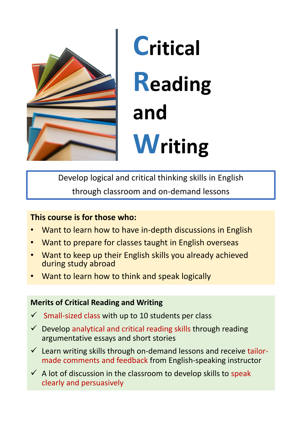

# **Critical Reading and Writing**

Develop logical and critical thinking skills in English through classroom and on‐demand lessons

# **This course is for those who:**

- Want to learn how to have in‐depth discussions in English
- Want to prepare for classes taught in English overseas
- Want to keep up their English skills you already achieved during study abroad
- Want to learn how to think and speak logically

# **Merits of Critical Reading and Writing**

- $\checkmark$  Small-sized class with up to 10 students per class
- $\checkmark$  Develop analytical and critical reading skills through reading argumentative essays and short stories
- $\checkmark$  Learn writing skills through on-demand lessons and receive tailormade comments and feedback from English‐speaking instructor
- $\checkmark$  A lot of discussion in the classroom to develop skills to speak clearly and persuasively